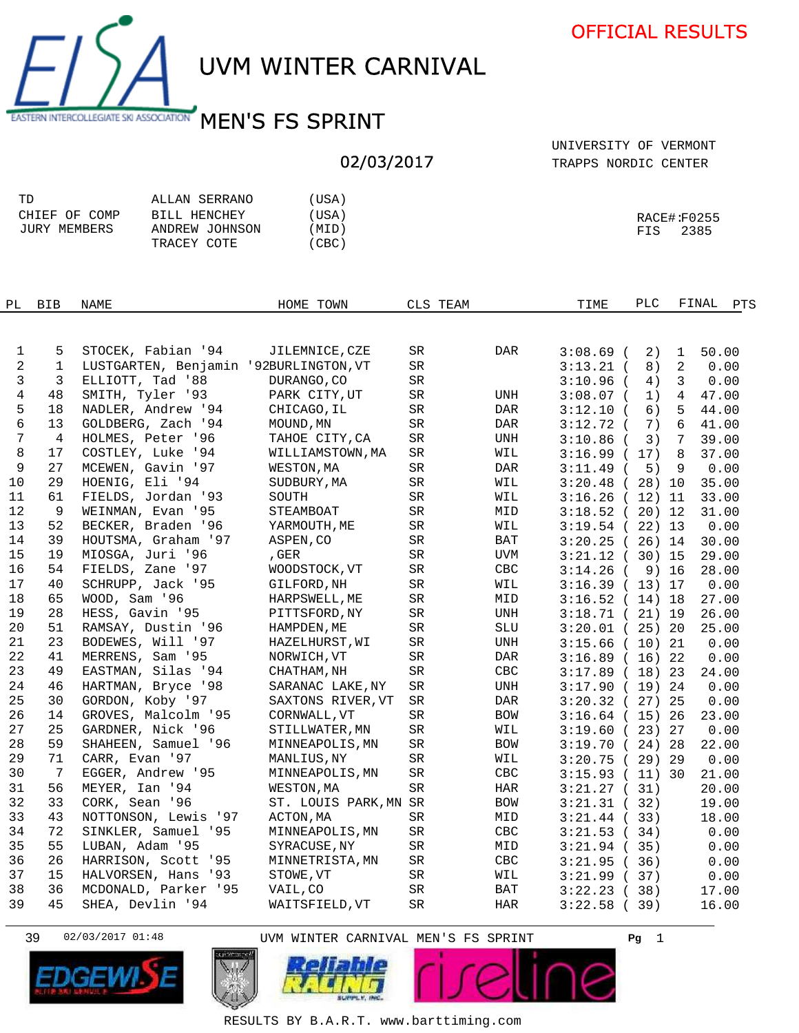UVM WINTER CARNIVAL

EASTERN INTERCOLLEGIATE SKI ASSOCIATION MEN'S FS SPRINT

## 02/03/2017

TRAPPS NORDIC CENTER UNIVERSITY OF VERMONT

| TD            | ALLAN SERRANO  | 'USA) |             |
|---------------|----------------|-------|-------------|
| CHIEF OF COMP | BILL HENCHEY   | 'USA) | RACE#:F0255 |
| JURY MEMBERS  | ANDREW JOHNSON | (MID) | 2385<br>FIS |
|               | TRACEY COTE    | (CBC) |             |

| PL              | <b>BIB</b>        | NAME                                                        | HOME TOWN             | CLS TEAM   |     | TIME                       | PLC      |                | FINAL        | PTS |
|-----------------|-------------------|-------------------------------------------------------------|-----------------------|------------|-----|----------------------------|----------|----------------|--------------|-----|
|                 |                   |                                                             |                       |            |     |                            |          |                |              |     |
|                 |                   |                                                             |                       | SR         | DAR |                            |          |                |              |     |
| 1<br>$\sqrt{2}$ | 5<br>$\mathbf{1}$ | STOCEK, Fabian '94<br>LUSTGARTEN, Benjamin '92BURLINGTON,VT | JILEMNICE, CZE        | <b>SR</b>  |     | $3:08.69$ (                | 2)       | 1<br>2         | 50.00        |     |
| 3               | 3                 | ELLIOTT, Tad '88                                            | DURANGO, CO           | ${\rm SR}$ |     | $3:13.21$ (<br>$3:10.96$ ( | 8)<br>4) | 3              | 0.00<br>0.00 |     |
| 4               | 48                | SMITH, Tyler '93                                            | PARK CITY, UT         | SR         | UNH | $3:08.07$ (                | 1)       | $\overline{4}$ | 47.00        |     |
| 5               | 18                | NADLER, Andrew '94                                          | CHICAGO, IL           | SR         | DAR | $3:12.10$ (                | 6)       | 5              | 44.00        |     |
| 6               | 13                | GOLDBERG, Zach '94                                          | MOUND, MN             | SR         | DAR | $3:12.72$ (                | 7)       | 6              | 41.00        |     |
| $\overline{7}$  | $\overline{4}$    | HOLMES, Peter '96                                           | TAHOE CITY, CA        | SR.        | UNH | $3:10.86$ (                | 3)       | 7              | 39.00        |     |
| 8               | 17                | COSTLEY, Luke '94                                           | WILLIAMSTOWN, MA      | SR         | WIL | 3:16.99(17)                |          | 8              | 37.00        |     |
| 9               | 27                | MCEWEN, Gavin '97                                           | WESTON, MA            | SR         | DAR | $3:11.49$ (                | 5)       | 9              | 0.00         |     |
| 10              | 29                | HOENIG, Eli '94                                             | SUDBURY, MA           | SR         | WIL | $3:20.48$ (28) 10          |          |                | 35.00        |     |
| 11              | 61                | FIELDS, Jordan '93                                          | SOUTH                 | SR         | WIL | 3:16.26(12)11              |          |                | 33.00        |     |
| 12              | 9                 | WEINMAN, Evan '95                                           | STEAMBOAT             | $\rm SR$   | MID | 3:18.52(20)12              |          |                | 31.00        |     |
| 13              | 52                | BECKER, Braden '96                                          | YARMOUTH, ME          | SR         | WIL | 3:19.54(22)13              |          |                | 0.00         |     |
| 14              | 39                | HOUTSMA, Graham '97                                         | ASPEN, CO             | SR         | BAT | 3:20.25(26)14              |          |                | 30.00        |     |
| 15              | 19                | MIOSGA, Juri '96                                            | , GER                 | SR         | UVM | 3:21.12(30)15              |          |                | 29.00        |     |
| 16              | 54                | FIELDS, Zane '97                                            | WOODSTOCK, VT         | SR         | CBC | $3:14.26$ (                |          | 9) 16          | 28.00        |     |
| 17              | 40                | SCHRUPP, Jack '95                                           | GILFORD, NH           | $\rm SR$   | WIL | 3:16.39(13)17              |          |                | 0.00         |     |
| 18              | 65                | WOOD, Sam '96                                               | HARPSWELL, ME         | ${\rm SR}$ | MID | 3:16.52(14)18              |          |                | 27.00        |     |
| 19              | 28                | HESS, Gavin '95                                             | PITTSFORD, NY         | SR         | UNH | 3:18.71(21)19              |          |                | 26.00        |     |
| 20              | 51                | RAMSAY, Dustin '96                                          | HAMPDEN, ME           | SR         | SLU | $3:20.01$ (25) 20          |          |                | 25.00        |     |
| 21              | 23                | BODEWES, Will '97                                           | HAZELHURST, WI        | SR         | UNH | 3:15.66(10)21              |          |                | 0.00         |     |
| 22              | 41                | MERRENS, Sam '95                                            | NORWICH, VT           | ${\rm SR}$ | DAR | 3:16.89(16)22              |          |                | 0.00         |     |
| 23              | 49                | EASTMAN, Silas '94                                          | CHATHAM, NH           | SR         | CBC | 3:17.89(18)23              |          |                | 24.00        |     |
| 24              | 46                | HARTMAN, Bryce '98                                          | SARANAC LAKE, NY      | SR         | UNH | 3:17.90(19)24              |          |                | 0.00         |     |
| 25              | 30                | GORDON, Koby '97                                            | SAXTONS RIVER, VT     | SR         | DAR | $3:20.32$ (27) 25          |          |                | 0.00         |     |
| 26              | 14                | GROVES, Malcolm '95                                         | CORNWALL, VT          | SR         | BOW | $3:16.64$ (15) 26          |          |                | 23.00        |     |
| 27              | 25                | GARDNER, Nick '96                                           | STILLWATER, MN        | <b>SR</b>  | WIL | 3:19.60(23)27              |          |                | 0.00         |     |
| 28              | 59                | SHAHEEN, Samuel '96                                         | MINNEAPOLIS, MN       | SR         | BOW | 3:19.70(24)28              |          |                | 22.00        |     |
| 29              | 71                | CARR, Evan '97                                              | MANLIUS, NY           | SR         | WIL | 3:20.75(29)                |          |                | 0.00         |     |
| 30              | $7\phantom{.0}$   | EGGER, Andrew '95                                           | MINNEAPOLIS, MN       | SR         | CBC | 3:15.93(11)30              |          |                | 21.00        |     |
| 31              | 56                | MEYER, Ian '94                                              | WESTON, MA            | SR         | HAR | 3:21.27(31)                |          |                | 20.00        |     |
| 32              | 33                | CORK, Sean '96                                              | ST. LOUIS PARK, MN SR |            | BOW | 3:21.31(32)                |          |                | 19.00        |     |
| 33              | 43                | NOTTONSON, Lewis '97                                        | ACTON, MA             | <b>SR</b>  | MID | 3:21.44(33)                |          |                | 18.00        |     |
| 34              | 72                | SINKLER, Samuel '95                                         | MINNEAPOLIS, MN       | SR         | CBC | 3:21.53(34)                |          |                | 0.00         |     |
| 35              | 55                | LUBAN, Adam '95                                             | SYRACUSE, NY          | SR         | MID | 3:21.94(35)                |          |                | 0.00         |     |
| 36              | 26                | HARRISON, Scott '95                                         | MINNETRISTA, MN       | SR         | CBC | 3:21.95(36)                |          |                | 0.00         |     |
| 37              | 15                | HALVORSEN, Hans '93                                         | STOWE, VT             | SR         | WIL | 3:21.99(37)                |          |                | 0.00         |     |
| 38              | 36                | MCDONALD, Parker '95                                        | VAIL, CO              | SR         | BAT | 3:22.23(38)                |          |                | 17.00        |     |
| 39              | 45                | SHEA, Devlin '94                                            | WAITSFIELD, VT        | SR         | HAR | 3:22.58(39)                |          |                | 16.00        |     |
|                 |                   |                                                             |                       |            |     |                            |          |                |              |     |





39 1 02/03/2017 01:48 UVM WINTER CARNIVAL MEN'S FS SPRINT **Pg**



RESULTS BY B.A.R.T. www.barttiming.com